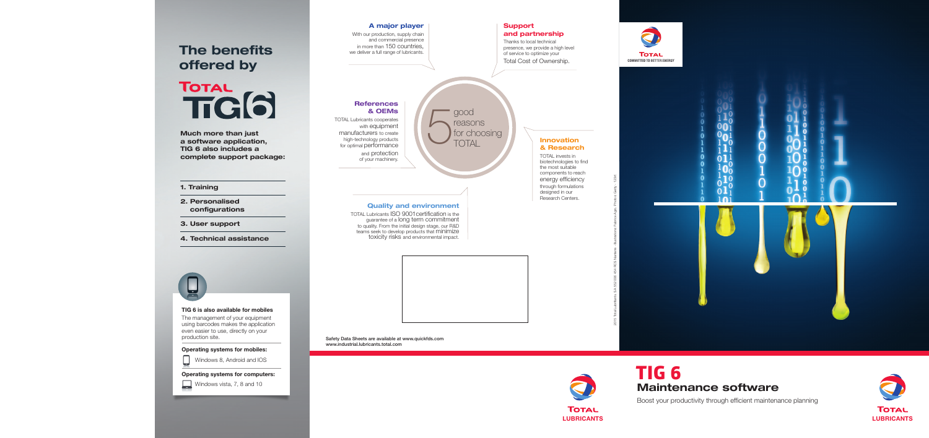# **TIG 6 Maintenance software**

Boost your productivity through efficient maintenance planning

2015 Total Lubrifiants. SA 552 006 454 RCS Nanterre - Illustrations: Fabrice Agro. Photos: Getty - 123rf.

## **A major player**

With our production, supply chain and commercial presence in more than 150 countries, we deliver a full range of lubricants.

> TOTAL invests in biotechnologies to find the most suitable components to reach energy efficiency through formulations designed in our Research Centers.





**Quality and environment**

good reasons for choosing<br>TOTAL

TOTAL Lubricants ISO 9001certification is the guarantee of a long term commitment to quality. From the initial design stage, our R&D teams seek to develop products that minimize toxicity risks and environmental impact.



# **Innovation & Research**

## **Support and partnership**

Thanks to local technical presence, we provide a high level of service to optimize your Total Cost of Ownership.



# **References**

# **& OEMs**

TOTAL Lubricants cooperates with equipment manufacturers to create high-technology products for optimal performance and protection

of your machinery.



**Safety Data Sheets are available at www.quickfds.com www.industrial.lubricants.total.com**

### **1. Training**

- **2. Personalised configurations**
- **3. User support**
- **4. Technical assistance**



**Much more than just a software application, TIG 6 also includes a complete support package:**

# **The benefits offered by**

TOTAL<br>TTG(6)

### **TIG 6 is also available for mobiles**

The management of your equipment using barcodes makes the application even easier to use, directly on your production site.



Windows 8, Android and IOS

**Operating systems for computers:**



Windows vista, 7, 8 and 10